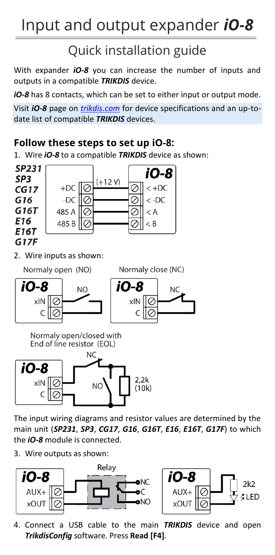## Input and output expander *iO-8*

## Quick installation guide

With expander *iO-8* you can increase the number of inputs and outputs in a compatible *TRIKDIS* device.

*iO-8* has 8 contacts, which can be set to either input or output mode.

Visit *iO-8* page on *[trikdis.com](http://www.trikdis.com/)* for device specifications and an up-todate list of compatible *TRIKDIS* devices.

## **Follow these steps to set up iO-8:**

1. Wire *iO-8* to a compatible *TRIKDIS* device as shown:



The input wiring diagrams and resistor values are determined by the main unit (*SP231*, *SP3*, *CG17*, *G16*, *G16T*, *E16*, *E16T*, *G17F*) to which the *iO-8* module is connected.

3. Wire outputs as shown:



4. Connect a USB cable to the main *TRIKDIS* device and open *TrikdisConfig* software. Press **Read [F4]**.